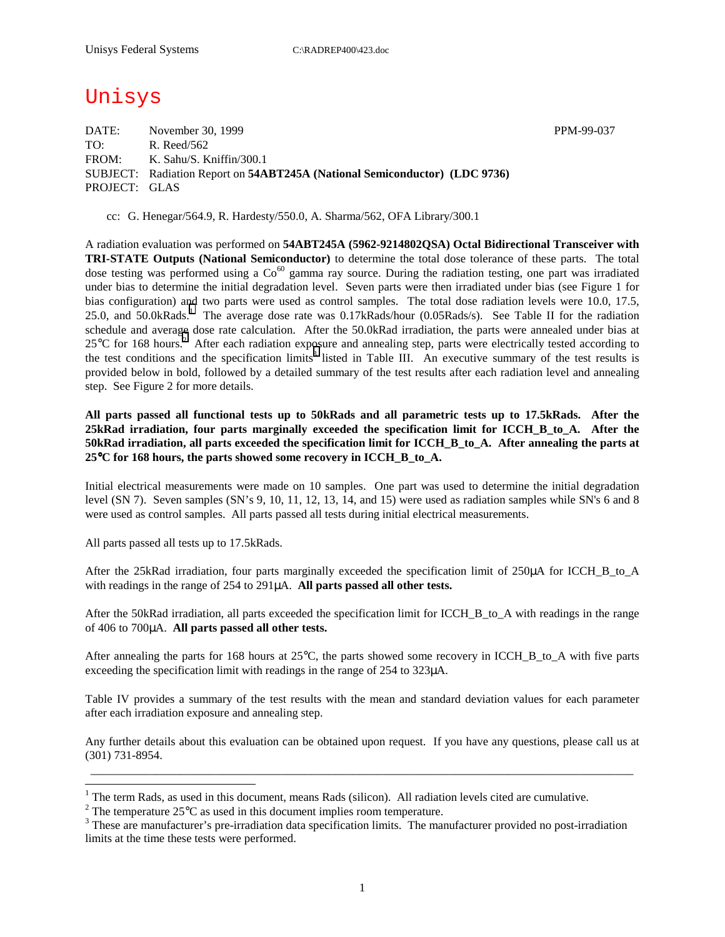## Unisys

DATE: November 30, 1999 November 30, 1999 TO: R. Reed/562 FROM: K. Sahu/S. Kniffin/300.1 SUBJECT: Radiation Report on **54ABT245A (National Semiconductor) (LDC 9736)** PROJECT: GLAS

cc: G. Henegar/564.9, R. Hardesty/550.0, A. Sharma/562, OFA Library/300.1

A radiation evaluation was performed on **54ABT245A (5962-9214802QSA) Octal Bidirectional Transceiver with TRI-STATE Outputs (National Semiconductor)** to determine the total dose tolerance of these parts. The total dose testing was performed using a  $Co<sup>60</sup>$  gamma ray source. During the radiation testing, one part was irradiated under bias to determine the initial degradation level. Seven parts were then irradiated under bias (see Figure 1 for bias configuration) and two parts were used as control samples. The total dose radiation levels were 10.0, 17.5, 25.0, and 50.0kRads.<sup>1</sup> The average dose rate was 0.17kRads/hour (0.05Rads/s). See Table II for the radiation schedule and average dose rate calculation. After the 50.0kRad irradiation, the parts were annealed under bias at  $25^{\circ}$ C for 168 hours.<sup>2</sup> After each radiation exposure and annealing step, parts were electrically tested according to the test conditions and the specification limits<sup>3</sup> listed in Table III. An executive summary of the test results is provided below in bold, followed by a detailed summary of the test results after each radiation level and annealing step. See Figure 2 for more details.

**All parts passed all functional tests up to 50kRads and all parametric tests up to 17.5kRads. After the 25kRad irradiation, four parts marginally exceeded the specification limit for ICCH\_B\_to\_A. After the 50kRad irradiation, all parts exceeded the specification limit for ICCH\_B\_to\_A. After annealing the parts at 25**°**C for 168 hours, the parts showed some recovery in ICCH\_B\_to\_A.** 

Initial electrical measurements were made on 10 samples. One part was used to determine the initial degradation level (SN 7). Seven samples (SN's 9, 10, 11, 12, 13, 14, and 15) were used as radiation samples while SN's 6 and 8 were used as control samples. All parts passed all tests during initial electrical measurements.

All parts passed all tests up to 17.5kRads.

 $\overline{a}$ 

After the 25kRad irradiation, four parts marginally exceeded the specification limit of 250 $\mu$ A for ICCH B to A with readings in the range of 254 to 291µA. **All parts passed all other tests.**

After the 50kRad irradiation, all parts exceeded the specification limit for ICCH\_B\_to\_A with readings in the range of 406 to 700µA. **All parts passed all other tests.**

After annealing the parts for 168 hours at 25°C, the parts showed some recovery in ICCH\_B\_to\_A with five parts exceeding the specification limit with readings in the range of 254 to 323µA.

Table IV provides a summary of the test results with the mean and standard deviation values for each parameter after each irradiation exposure and annealing step.

Any further details about this evaluation can be obtained upon request. If you have any questions, please call us at (301) 731-8954. \_\_\_\_\_\_\_\_\_\_\_\_\_\_\_\_\_\_\_\_\_\_\_\_\_\_\_\_\_\_\_\_\_\_\_\_\_\_\_\_\_\_\_\_\_\_\_\_\_\_\_\_\_\_\_\_\_\_\_\_\_\_\_\_\_\_\_\_\_\_\_\_\_\_\_\_\_\_\_\_\_\_\_\_\_\_\_\_\_\_\_

1

<sup>&</sup>lt;sup>1</sup> The term Rads, as used in this document, means Rads (silicon). All radiation levels cited are cumulative.

<sup>&</sup>lt;sup>2</sup> The temperature 25 $^{\circ}$ C as used in this document implies room temperature.  $^3$  These are manufacturer's are irrediction date apositionism limits. The manufacturer's

<sup>&</sup>lt;sup>3</sup> These are manufacturer's pre-irradiation data specification limits. The manufacturer provided no post-irradiation limits at the time these tests were performed.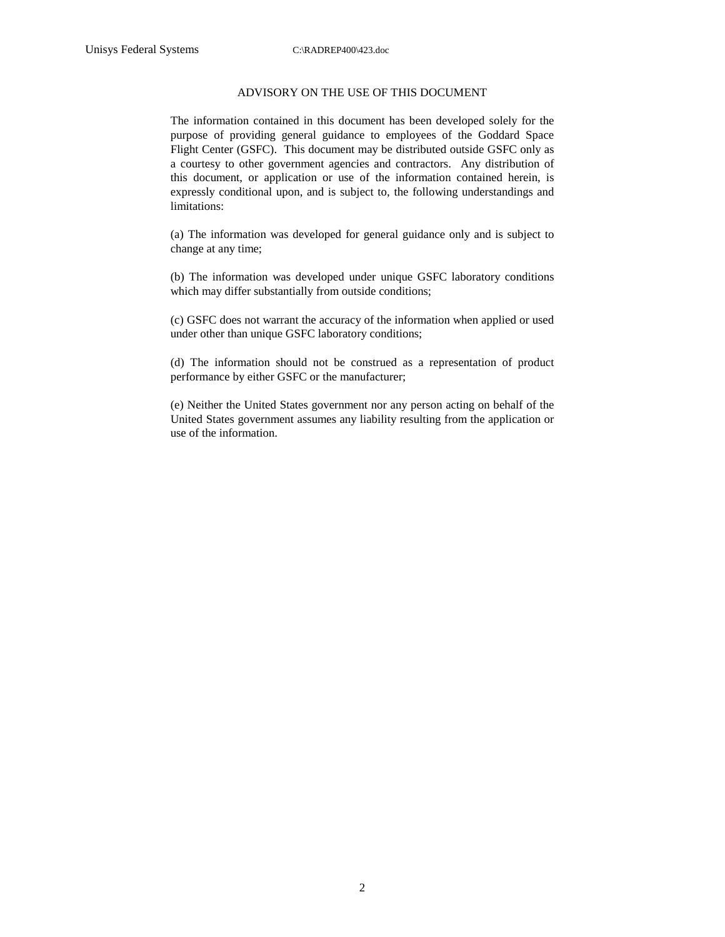## ADVISORY ON THE USE OF THIS DOCUMENT

The information contained in this document has been developed solely for the purpose of providing general guidance to employees of the Goddard Space Flight Center (GSFC). This document may be distributed outside GSFC only as a courtesy to other government agencies and contractors. Any distribution of this document, or application or use of the information contained herein, is expressly conditional upon, and is subject to, the following understandings and limitations:

(a) The information was developed for general guidance only and is subject to change at any time;

(b) The information was developed under unique GSFC laboratory conditions which may differ substantially from outside conditions;

(c) GSFC does not warrant the accuracy of the information when applied or used under other than unique GSFC laboratory conditions;

(d) The information should not be construed as a representation of product performance by either GSFC or the manufacturer;

(e) Neither the United States government nor any person acting on behalf of the United States government assumes any liability resulting from the application or use of the information.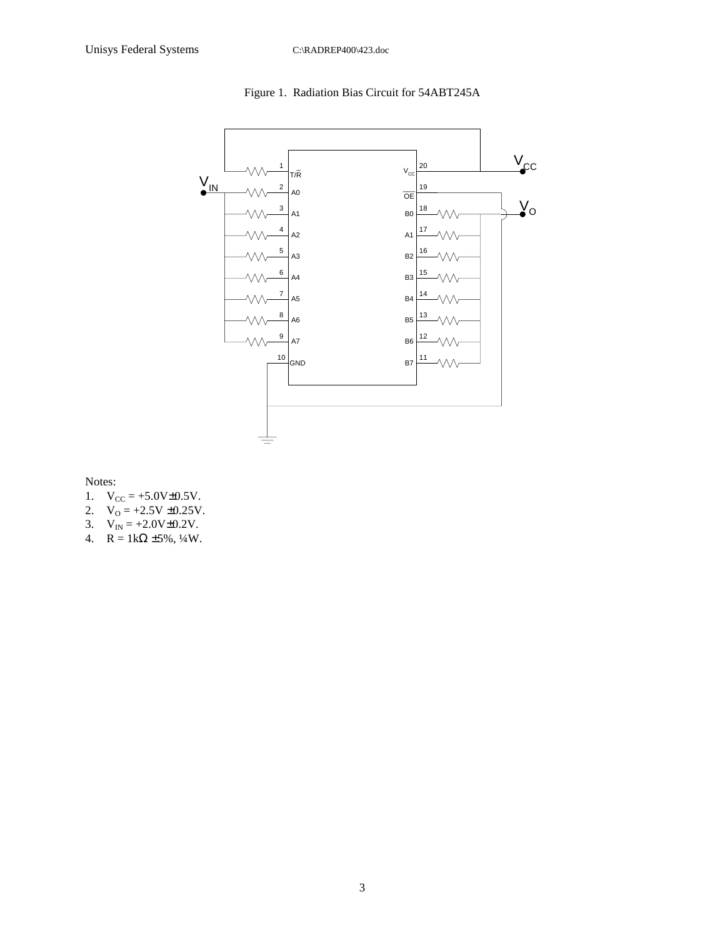

Figure 1. Radiation Bias Circuit for 54ABT245A

Notes:

- 1.  $V_{CC} = +5.0V \pm 0.5V$ .
- 2.  $V_0 = +2.5V \pm 0.25V$ .
- 3.  $V_{IN} = +2.0V \pm 0.2V$ .
- 4.  $R = 1k\Omega \pm 5\%, \frac{1}{4}W$ .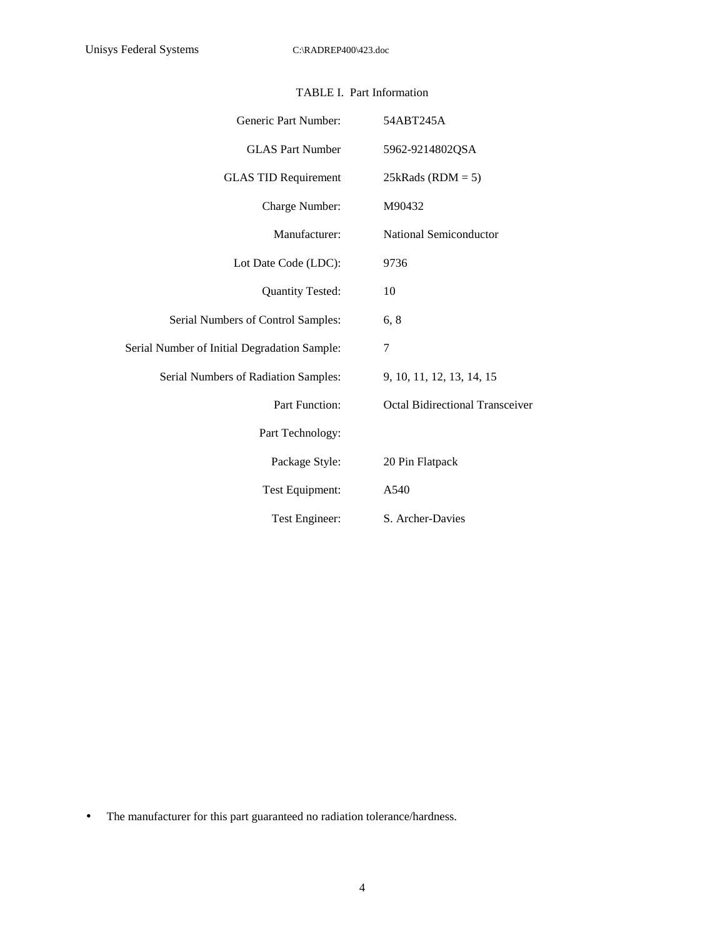|  | TABLE I. Part Information |
|--|---------------------------|
|--|---------------------------|

| Generic Part Number:                         | 54ABT245A                              |
|----------------------------------------------|----------------------------------------|
| <b>GLAS Part Number</b>                      | 5962-9214802QSA                        |
| <b>GLAS TID Requirement</b>                  | $25kRads (RDM = 5)$                    |
| Charge Number:                               | M90432                                 |
| Manufacturer:                                | National Semiconductor                 |
| Lot Date Code (LDC):                         | 9736                                   |
| <b>Quantity Tested:</b>                      | 10                                     |
| Serial Numbers of Control Samples:           | 6, 8                                   |
| Serial Number of Initial Degradation Sample: | 7                                      |
| Serial Numbers of Radiation Samples:         | 9, 10, 11, 12, 13, 14, 15              |
| Part Function:                               | <b>Octal Bidirectional Transceiver</b> |
| Part Technology:                             |                                        |
| Package Style:                               | 20 Pin Flatpack                        |
| Test Equipment:                              | A540                                   |
| Test Engineer:                               | S. Archer-Davies                       |

• The manufacturer for this part guaranteed no radiation tolerance/hardness.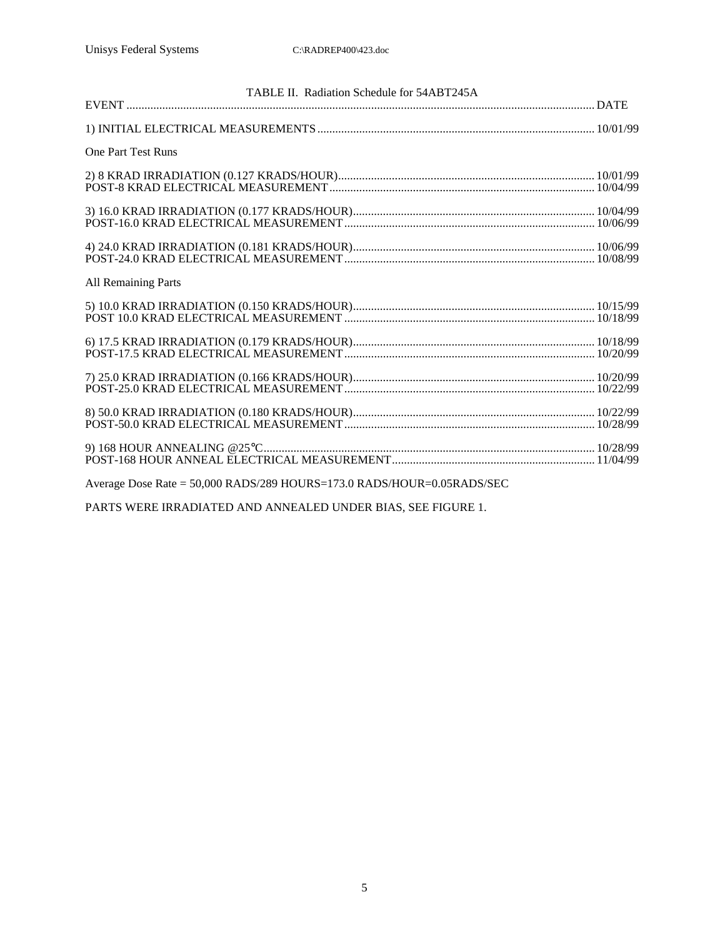| TABLE II. Radiation Schedule for 54ABT245A                                                         |  |
|----------------------------------------------------------------------------------------------------|--|
|                                                                                                    |  |
|                                                                                                    |  |
| <b>One Part Test Runs</b>                                                                          |  |
|                                                                                                    |  |
|                                                                                                    |  |
|                                                                                                    |  |
|                                                                                                    |  |
|                                                                                                    |  |
| $4) 24.0 KRAD IRRADIATION (0.181 KRADS/HOUR)10/06/99POST-24.0 KRAD ELECTRICAL MEASUREMENT10/08/99$ |  |
|                                                                                                    |  |
| <b>All Remaining Parts</b>                                                                         |  |
|                                                                                                    |  |
|                                                                                                    |  |
|                                                                                                    |  |
|                                                                                                    |  |
|                                                                                                    |  |
|                                                                                                    |  |
|                                                                                                    |  |
|                                                                                                    |  |
|                                                                                                    |  |
|                                                                                                    |  |
|                                                                                                    |  |
|                                                                                                    |  |
|                                                                                                    |  |
| Average Dose Rate = 50,000 RADS/289 HOURS=173.0 RADS/HOUR=0.05RADS/SEC                             |  |
|                                                                                                    |  |

PARTS WERE IRRADIATED AND ANNEALED UNDER BIAS, SEE FIGURE 1.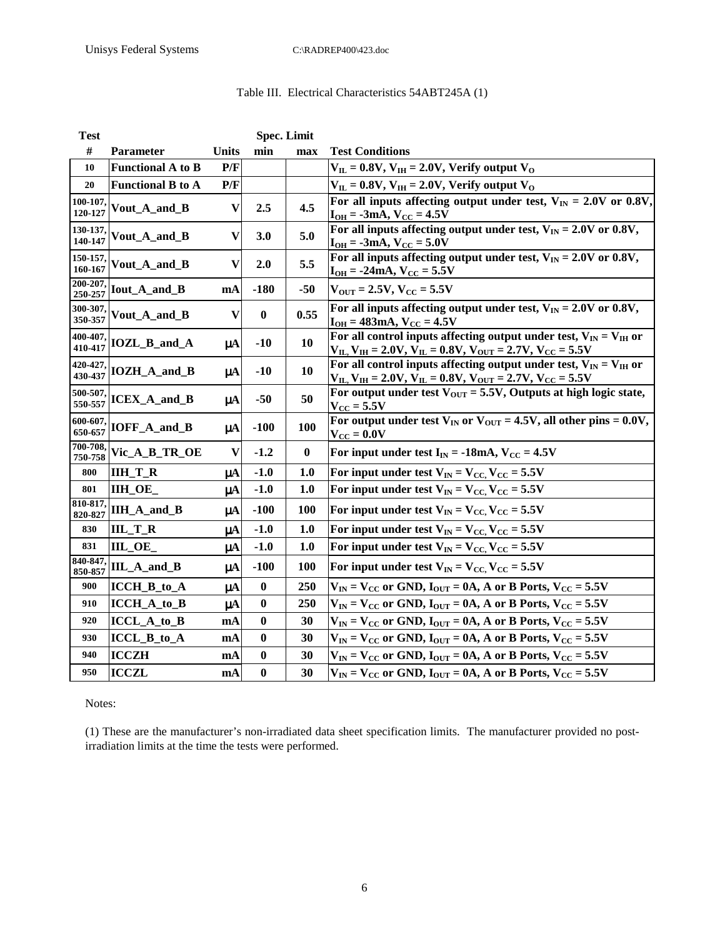## Table III. Electrical Characteristics 54ABT245A (1)

| <b>Test</b>         |                          |                           | <b>Spec. Limit</b> |                  |                                                                                                                                                                                               |
|---------------------|--------------------------|---------------------------|--------------------|------------------|-----------------------------------------------------------------------------------------------------------------------------------------------------------------------------------------------|
| $\#$                | Parameter                | <b>Units</b>              | min                | max              | <b>Test Conditions</b>                                                                                                                                                                        |
| 10                  | <b>Functional A to B</b> | P/F                       |                    |                  | $V_{\text{IL}} = 0.8 V, V_{\text{IH}} = 2.0 V,$ Verify output $V_{\text{O}}$                                                                                                                  |
| 20                  | <b>Functional B to A</b> | P/F                       |                    |                  | $V_{\text{IL}}$ = 0.8V, $V_{\text{IH}}$ = 2.0V, Verify output V <sub>O</sub>                                                                                                                  |
| 100-107,<br>120-127 | Vout_A_and_B             | $\boldsymbol{\mathrm{V}}$ | 2.5                | 4.5              | For all inputs affecting output under test, $V_{IN} = 2.0V$ or 0.8V,<br>$I_{OH} = -3mA$ , $V_{CC} = 4.5V$                                                                                     |
| 130-137,<br>140-147 | Vout_A_and_B             | V                         | 3.0                | 5.0              | For all inputs affecting output under test, $V_{IN} = 2.0V$ or 0.8V,<br>$I_{OH} = -3mA$ , $V_{CC} = 5.0V$                                                                                     |
| 150-157,<br>160-167 | Vout_A_and_B             | V                         | 2.0                | 5.5              | For all inputs affecting output under test, $V_{IN} = 2.0V$ or 0.8V,<br>$I_{OH} = -24mA, V_{CC} = 5.5V$                                                                                       |
| 200-207,<br>250-257 | Iout_A_and_B             | mA                        | $-180$             | $-50$            | $V_{\text{OUT}} = 2.5V, V_{\text{CC}} = 5.5V$                                                                                                                                                 |
| 300-307,<br>350-357 | Vout_A_and_B             | V                         | $\boldsymbol{0}$   | 0.55             | For all inputs affecting output under test, $V_{IN} = 2.0V$ or 0.8V,<br>$I_{OH} = 483 \text{mA}, V_{CC} = 4.5 \text{V}$                                                                       |
| 400-407,<br>410-417 | IOZL_B_and_A             | $\mu A$                   | $-10$              | 10               | For all control inputs affecting output under test, $V_{IN} = V_{IH}$ or<br>$V_{\text{IL}}$ , $V_{\text{IH}}$ = 2.0V, $V_{\text{IL}}$ = 0.8V, $V_{\text{OUT}}$ = 2.7V, $V_{\text{CC}}$ = 5.5V |
| 420-427,<br>430-437 | IOZH_A_and_B             | $\mu A$                   | $-10$              | 10               | For all control inputs affecting output under test, $V_{IN} = V_{IH}$ or<br>$V_{\text{IL}}$ , $V_{\text{IH}}$ = 2.0V, $V_{\text{IL}}$ = 0.8V, $V_{\text{OUT}}$ = 2.7V, $V_{\text{CC}}$ = 5.5V |
| 500-507<br>550-557  | ICEX_A_and_B             | $\mu$ A                   | $-50$              | 50               | For output under test $V_{OUT} = 5.5V$ , Outputs at high logic state,<br>$V_{\text{CC}} = 5.5V$                                                                                               |
| 600-607.<br>650-657 | IOFF_A_and_B             | $\mu A$                   | $-100$             | <b>100</b>       | For output under test $V_{IN}$ or $V_{OUT} = 4.5V$ , all other pins = 0.0V,<br>$V_{CC} = 0.0V$                                                                                                |
| 700-708,<br>750-758 | Vic_A_B_TR_OE            | $\mathbf{V}$              | $-1.2$             | $\boldsymbol{0}$ | For input under test $I_{IN} = -18mA$ , $V_{CC} = 4.5V$                                                                                                                                       |
| 800                 | <b>IIH_T_R</b>           | $\mu A$                   | $-1.0$             | 1.0              | For input under test $V_{IN} = V_{CC}$ , $V_{CC} = 5.5V$                                                                                                                                      |
| 801                 | IIH_OE_                  | μA                        | $-1.0$             | 1.0              | For input under test $V_{IN} = V_{CC}$ , $V_{CC} = 5.5V$                                                                                                                                      |
| 810-817,<br>820-827 | IIH_A_and_B              | $\mu A$                   | $-100$             | 100              | For input under test $V_{IN} = V_{CC}$ , $V_{CC} = 5.5V$                                                                                                                                      |
| 830                 | $ILL_T_R$                | $\mu A$                   | $-1.0$             | 1.0              | For input under test $V_{IN} = V_{CC}$ , $V_{CC} = 5.5V$                                                                                                                                      |
| 831                 | IIL_OE                   | $\mu A$                   | $-1.0$             | 1.0              | For input under test $V_{IN} = V_{CC}$ , $V_{CC} = 5.5V$                                                                                                                                      |
| 840-847<br>850-857  | IIL_A_and_B              | $\mu A$                   | $-100$             | 100              | For input under test $V_{IN} = V_{CC}$ , $V_{CC} = 5.5V$                                                                                                                                      |
| 900                 | ICCH_B_to_A              | $\mu A$                   | $\bf{0}$           | 250              | $V_{IN}$ = $V_{CC}$ or GND, $I_{OUT}$ = 0A, A or B Ports, $V_{CC}$ = 5.5V                                                                                                                     |
| 910                 | ICCH_A_to_B              | $\mu A$                   | $\bf{0}$           | 250              | $V_{IN}$ = $V_{CC}$ or GND, $I_{OUT}$ = 0A, A or B Ports, $V_{CC}$ = 5.5V                                                                                                                     |
| 920                 | $ICCL_A_to_B$            | mA                        | $\bf{0}$           | 30               | $V_{IN}$ = $V_{CC}$ or GND, $I_{OUT}$ = 0A, A or B Ports, $V_{CC}$ = 5.5V                                                                                                                     |
| 930                 | ICCL_B_to_A              | mA                        | $\mathbf{0}$       | 30               | $V_{IN}$ = $V_{CC}$ or GND, $I_{OUT}$ = 0A, A or B Ports, $V_{CC}$ = 5.5V                                                                                                                     |
| 940                 | <b>ICCZH</b>             | mA                        | $\bf{0}$           | 30               | $V_{IN}$ = $V_{CC}$ or GND, $I_{OUT}$ = 0A, A or B Ports, $V_{CC}$ = 5.5V                                                                                                                     |
| 950                 | <b>ICCZL</b>             | mA                        | $\bf{0}$           | 30               | $V_{IN}$ = $V_{CC}$ or GND, $I_{OUT}$ = 0A, A or B Ports, $V_{CC}$ = 5.5V                                                                                                                     |

Notes:

(1) These are the manufacturer's non-irradiated data sheet specification limits. The manufacturer provided no postirradiation limits at the time the tests were performed.